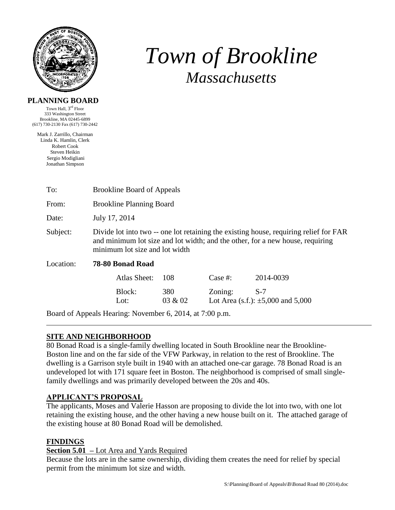

# *Town of Brookline Massachusetts*

## **PLANNING BOARD**

Town Hall, 3<sup>rd</sup> Floor 333 Washington Street Brookline, MA 02445-6899 (617) 730-2130 Fax (617) 730-2442

Mark J. Zarrillo, Chairman Linda K. Hamlin, Clerk Robert Cook Steven Heikin Sergio Modigliani Jonathan Simpson

| To:                                                      | <b>Brookline Board of Appeals</b>                                                                                                                                                                        |         |            |                                          |  |  |  |
|----------------------------------------------------------|----------------------------------------------------------------------------------------------------------------------------------------------------------------------------------------------------------|---------|------------|------------------------------------------|--|--|--|
| From:                                                    | <b>Brookline Planning Board</b>                                                                                                                                                                          |         |            |                                          |  |  |  |
| Date:                                                    | July 17, 2014                                                                                                                                                                                            |         |            |                                          |  |  |  |
| Subject:                                                 | Divide lot into two -- one lot retaining the existing house, requiring relief for FAR<br>and minimum lot size and lot width; and the other, for a new house, requiring<br>minimum lot size and lot width |         |            |                                          |  |  |  |
| Location:                                                | 78-80 Bonad Road                                                                                                                                                                                         |         |            |                                          |  |  |  |
|                                                          | <b>Atlas Sheet:</b>                                                                                                                                                                                      | 108     | Case $#$ : | 2014-0039                                |  |  |  |
|                                                          | Block:                                                                                                                                                                                                   | 380     | Zoning:    | $S-7$                                    |  |  |  |
|                                                          | Lot:                                                                                                                                                                                                     | 03 & 02 |            | Lot Area (s.f.): $\pm 5,000$ and $5,000$ |  |  |  |
| Board of Appeals Hearing: November 6, 2014, at 7:00 p.m. |                                                                                                                                                                                                          |         |            |                                          |  |  |  |

# **SITE AND NEIGHBORHOOD**

80 Bonad Road is a single-family dwelling located in South Brookline near the Brookline-Boston line and on the far side of the VFW Parkway, in relation to the rest of Brookline. The dwelling is a Garrison style built in 1940 with an attached one-car garage. 78 Bonad Road is an undeveloped lot with 171 square feet in Boston. The neighborhood is comprised of small singlefamily dwellings and was primarily developed between the 20s and 40s.

# **APPLICANT'S PROPOSAL**

The applicants, Moses and Valerie Hasson are proposing to divide the lot into two, with one lot retaining the existing house, and the other having a new house built on it. The attached garage of the existing house at 80 Bonad Road will be demolished.

# **FINDINGS**

# **Section 5.01 –** Lot Area and Yards Required

Because the lots are in the same ownership, dividing them creates the need for relief by special permit from the minimum lot size and width.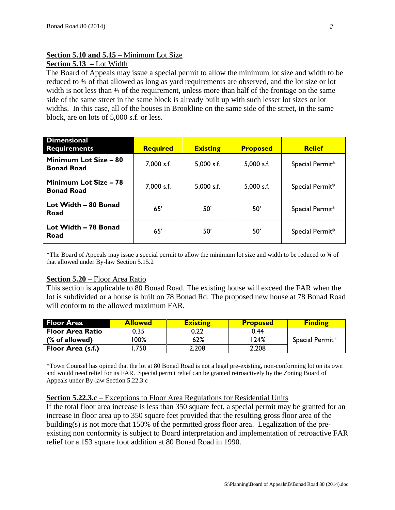# **Section 5.10 and 5.15 –** Minimum Lot Size

# **Section 5.13 –** Lot Width

The Board of Appeals may issue a special permit to allow the minimum lot size and width to be reduced to  $\frac{3}{4}$  of that allowed as long as yard requirements are observed, and the lot size or lot width is not less than  $\frac{3}{4}$  of the requirement, unless more than half of the frontage on the same side of the same street in the same block is already built up with such lesser lot sizes or lot widths. In this case, all of the houses in Brookline on the same side of the street, in the same block, are on lots of 5,000 s.f. or less.

| <b>Dimensional</b><br><b>Requirements</b>         | <b>Required</b> | <b>Existing</b> | <b>Proposed</b> | <b>Relief</b>   |
|---------------------------------------------------|-----------------|-----------------|-----------------|-----------------|
| Minimum Lot Size - 80<br><b>Bonad Road</b>        | 7,000 s.f.      | $5,000$ s.f.    | 5,000 s.f.      | Special Permit* |
| <b>Minimum Lot Size - 78</b><br><b>Bonad Road</b> | 7,000 s.f.      | 5,000 s.f.      | 5,000 s.f.      | Special Permit* |
| Lot Width - 80 Bonad<br>Road                      | 65'             | 50'             | 50'             | Special Permit* |
| Lot Width - 78 Bonad<br>Road                      | 65'             | 50'             | 50'             | Special Permit* |

\*The Board of Appeals may issue a special permit to allow the minimum lot size and width to be reduced to ¾ of that allowed under By-law Section 5.15.2

### **Section 5.20 –** Floor Area Ratio

This section is applicable to 80 Bonad Road. The existing house will exceed the FAR when the lot is subdivided or a house is built on 78 Bonad Rd. The proposed new house at 78 Bonad Road will conform to the allowed maximum FAR.

| <b>Floor Area</b>       | <b>Allowed</b> | <b>Existing</b> | <b>Proposed</b> | <b>Finding</b>  |
|-------------------------|----------------|-----------------|-----------------|-----------------|
| <b>Floor Area Ratio</b> | 0.35           | 0.22            | 0.44            |                 |
| (% of allowed)          | 00%            | 62%             | l 24%           | Special Permit* |
| Floor Area (s.f.)       | .750           | 2,208           | 2,208           |                 |

\*Town Counsel has opined that the lot at 80 Bonad Road is not a legal pre-existing, non-conforming lot on its own and would need relief for its FAR. Special permit relief can be granted retroactively by the Zoning Board of Appeals under By-law Section 5.22.3.c

### **Section 5.22.3.c** – Exceptions to Floor Area Regulations for Residential Units

If the total floor area increase is less than 350 square feet, a special permit may be granted for an increase in floor area up to 350 square feet provided that the resulting gross floor area of the building(s) is not more that 150% of the permitted gross floor area. Legalization of the preexisting non conformity is subject to Board interpretation and implementation of retroactive FAR relief for a 153 square foot addition at 80 Bonad Road in 1990.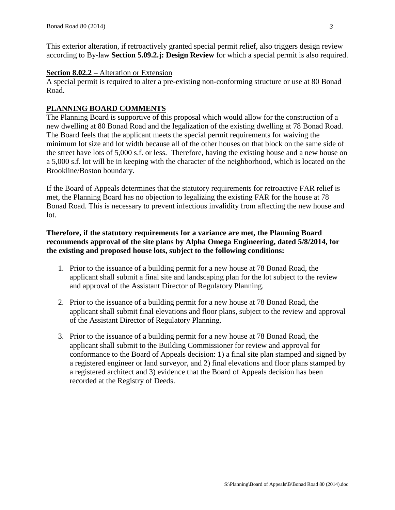This exterior alteration, if retroactively granted special permit relief, also triggers design review according to By-law **Section 5.09.2.j: Design Review** for which a special permit is also required.

### **Section 8.02.2 –** Alteration or Extension

A special permit is required to alter a pre-existing non-conforming structure or use at 80 Bonad Road.

## **PLANNING BOARD COMMENTS**

The Planning Board is supportive of this proposal which would allow for the construction of a new dwelling at 80 Bonad Road and the legalization of the existing dwelling at 78 Bonad Road. The Board feels that the applicant meets the special permit requirements for waiving the minimum lot size and lot width because all of the other houses on that block on the same side of the street have lots of 5,000 s.f. or less. Therefore, having the existing house and a new house on a 5,000 s.f. lot will be in keeping with the character of the neighborhood, which is located on the Brookline/Boston boundary.

If the Board of Appeals determines that the statutory requirements for retroactive FAR relief is met, the Planning Board has no objection to legalizing the existing FAR for the house at 78 Bonad Road. This is necessary to prevent infectious invalidity from affecting the new house and lot.

## **Therefore, if the statutory requirements for a variance are met, the Planning Board recommends approval of the site plans by Alpha Omega Engineering, dated 5/8/2014, for the existing and proposed house lots, subject to the following conditions:**

- 1. Prior to the issuance of a building permit for a new house at 78 Bonad Road, the applicant shall submit a final site and landscaping plan for the lot subject to the review and approval of the Assistant Director of Regulatory Planning.
- 2. Prior to the issuance of a building permit for a new house at 78 Bonad Road, the applicant shall submit final elevations and floor plans, subject to the review and approval of the Assistant Director of Regulatory Planning.
- 3. Prior to the issuance of a building permit for a new house at 78 Bonad Road, the applicant shall submit to the Building Commissioner for review and approval for conformance to the Board of Appeals decision: 1) a final site plan stamped and signed by a registered engineer or land surveyor, and 2) final elevations and floor plans stamped by a registered architect and 3) evidence that the Board of Appeals decision has been recorded at the Registry of Deeds.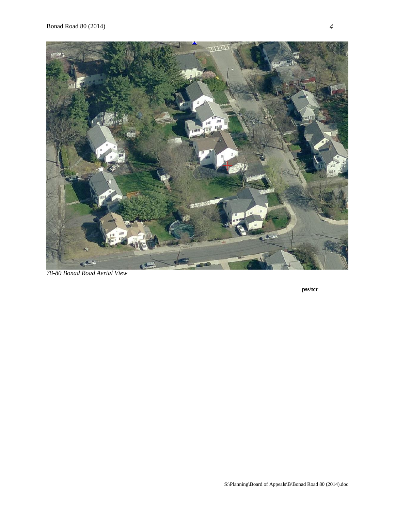

*78-80 Bonad Road Aerial View*

**pss/tcr**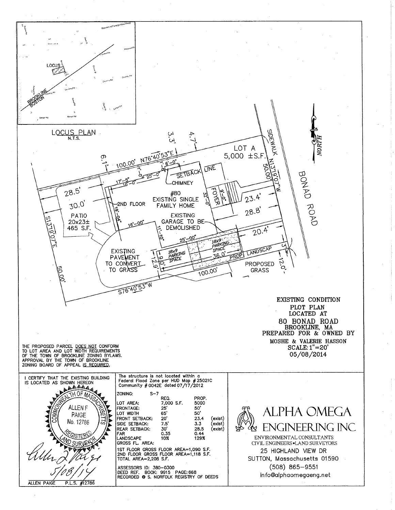